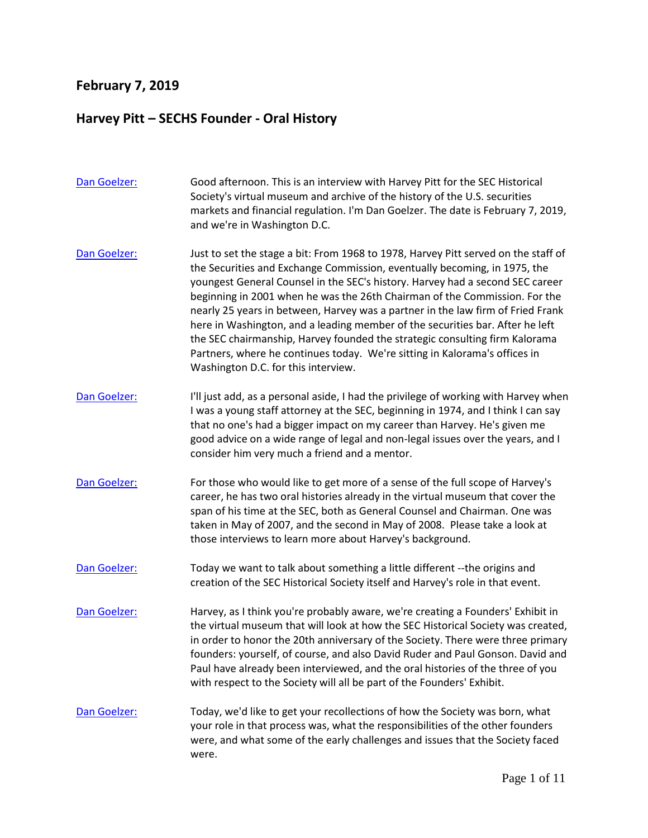## **February 7, 2019**

## **Harvey Pitt – SECHS Founder - Oral History**

| Dan Goelzer: | Good afternoon. This is an interview with Harvey Pitt for the SEC Historical<br>Society's virtual museum and archive of the history of the U.S. securities<br>markets and financial regulation. I'm Dan Goelzer. The date is February 7, 2019,<br>and we're in Washington D.C.                                                                                                                                                                                                                                                                                                                                                                                                                         |
|--------------|--------------------------------------------------------------------------------------------------------------------------------------------------------------------------------------------------------------------------------------------------------------------------------------------------------------------------------------------------------------------------------------------------------------------------------------------------------------------------------------------------------------------------------------------------------------------------------------------------------------------------------------------------------------------------------------------------------|
| Dan Goelzer: | Just to set the stage a bit: From 1968 to 1978, Harvey Pitt served on the staff of<br>the Securities and Exchange Commission, eventually becoming, in 1975, the<br>youngest General Counsel in the SEC's history. Harvey had a second SEC career<br>beginning in 2001 when he was the 26th Chairman of the Commission. For the<br>nearly 25 years in between, Harvey was a partner in the law firm of Fried Frank<br>here in Washington, and a leading member of the securities bar. After he left<br>the SEC chairmanship, Harvey founded the strategic consulting firm Kalorama<br>Partners, where he continues today. We're sitting in Kalorama's offices in<br>Washington D.C. for this interview. |
| Dan Goelzer: | I'll just add, as a personal aside, I had the privilege of working with Harvey when<br>I was a young staff attorney at the SEC, beginning in 1974, and I think I can say<br>that no one's had a bigger impact on my career than Harvey. He's given me<br>good advice on a wide range of legal and non-legal issues over the years, and I<br>consider him very much a friend and a mentor.                                                                                                                                                                                                                                                                                                              |
| Dan Goelzer: | For those who would like to get more of a sense of the full scope of Harvey's<br>career, he has two oral histories already in the virtual museum that cover the<br>span of his time at the SEC, both as General Counsel and Chairman. One was<br>taken in May of 2007, and the second in May of 2008. Please take a look at<br>those interviews to learn more about Harvey's background.                                                                                                                                                                                                                                                                                                               |
| Dan Goelzer: | Today we want to talk about something a little different --the origins and<br>creation of the SEC Historical Society itself and Harvey's role in that event.                                                                                                                                                                                                                                                                                                                                                                                                                                                                                                                                           |
| Dan Goelzer: | Harvey, as I think you're probably aware, we're creating a Founders' Exhibit in<br>the virtual museum that will look at how the SEC Historical Society was created,<br>in order to honor the 20th anniversary of the Society. There were three primary<br>founders: yourself, of course, and also David Ruder and Paul Gonson. David and<br>Paul have already been interviewed, and the oral histories of the three of you<br>with respect to the Society will all be part of the Founders' Exhibit.                                                                                                                                                                                                   |
| Dan Goelzer: | Today, we'd like to get your recollections of how the Society was born, what<br>your role in that process was, what the responsibilities of the other founders<br>were, and what some of the early challenges and issues that the Society faced<br>were.                                                                                                                                                                                                                                                                                                                                                                                                                                               |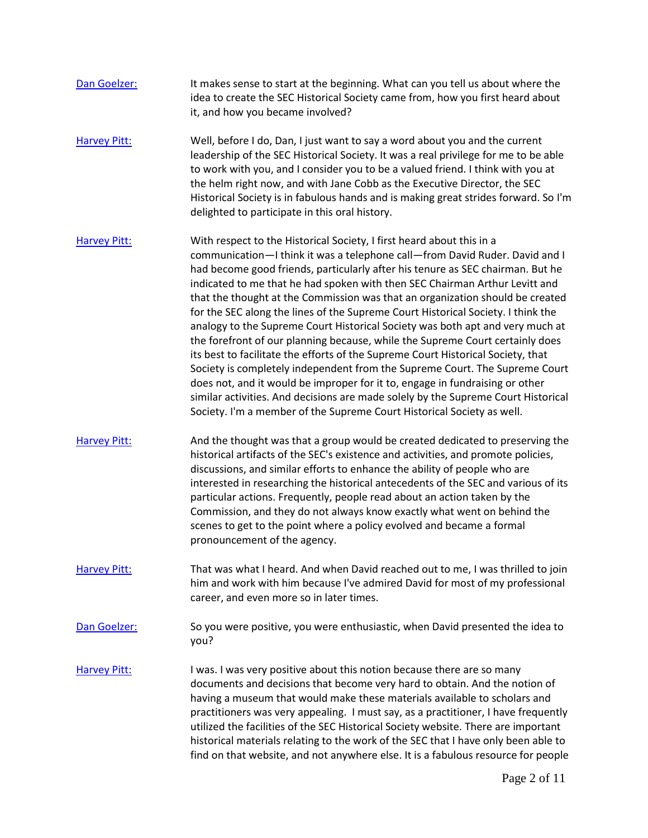| Dan Goelzer:        | It makes sense to start at the beginning. What can you tell us about where the<br>idea to create the SEC Historical Society came from, how you first heard about<br>it, and how you became involved?                                                                                                                                                                                                                                                                                                                                                                                                                                                                                                                                                                                                                                                                                                                                                                                                                                                                           |
|---------------------|--------------------------------------------------------------------------------------------------------------------------------------------------------------------------------------------------------------------------------------------------------------------------------------------------------------------------------------------------------------------------------------------------------------------------------------------------------------------------------------------------------------------------------------------------------------------------------------------------------------------------------------------------------------------------------------------------------------------------------------------------------------------------------------------------------------------------------------------------------------------------------------------------------------------------------------------------------------------------------------------------------------------------------------------------------------------------------|
| <b>Harvey Pitt:</b> | Well, before I do, Dan, I just want to say a word about you and the current<br>leadership of the SEC Historical Society. It was a real privilege for me to be able<br>to work with you, and I consider you to be a valued friend. I think with you at<br>the helm right now, and with Jane Cobb as the Executive Director, the SEC<br>Historical Society is in fabulous hands and is making great strides forward. So I'm<br>delighted to participate in this oral history.                                                                                                                                                                                                                                                                                                                                                                                                                                                                                                                                                                                                    |
| <b>Harvey Pitt:</b> | With respect to the Historical Society, I first heard about this in a<br>communication-I think it was a telephone call-from David Ruder. David and I<br>had become good friends, particularly after his tenure as SEC chairman. But he<br>indicated to me that he had spoken with then SEC Chairman Arthur Levitt and<br>that the thought at the Commission was that an organization should be created<br>for the SEC along the lines of the Supreme Court Historical Society. I think the<br>analogy to the Supreme Court Historical Society was both apt and very much at<br>the forefront of our planning because, while the Supreme Court certainly does<br>its best to facilitate the efforts of the Supreme Court Historical Society, that<br>Society is completely independent from the Supreme Court. The Supreme Court<br>does not, and it would be improper for it to, engage in fundraising or other<br>similar activities. And decisions are made solely by the Supreme Court Historical<br>Society. I'm a member of the Supreme Court Historical Society as well. |
| <b>Harvey Pitt:</b> | And the thought was that a group would be created dedicated to preserving the<br>historical artifacts of the SEC's existence and activities, and promote policies,<br>discussions, and similar efforts to enhance the ability of people who are<br>interested in researching the historical antecedents of the SEC and various of its<br>particular actions. Frequently, people read about an action taken by the<br>Commission, and they do not always know exactly what went on behind the<br>scenes to get to the point where a policy evolved and became a formal<br>pronouncement of the agency.                                                                                                                                                                                                                                                                                                                                                                                                                                                                          |
| <b>Harvey Pitt:</b> | That was what I heard. And when David reached out to me, I was thrilled to join<br>him and work with him because I've admired David for most of my professional<br>career, and even more so in later times.                                                                                                                                                                                                                                                                                                                                                                                                                                                                                                                                                                                                                                                                                                                                                                                                                                                                    |
| Dan Goelzer:        | So you were positive, you were enthusiastic, when David presented the idea to<br>you?                                                                                                                                                                                                                                                                                                                                                                                                                                                                                                                                                                                                                                                                                                                                                                                                                                                                                                                                                                                          |
| <b>Harvey Pitt:</b> | I was. I was very positive about this notion because there are so many<br>documents and decisions that become very hard to obtain. And the notion of<br>having a museum that would make these materials available to scholars and<br>practitioners was very appealing. I must say, as a practitioner, I have frequently<br>utilized the facilities of the SEC Historical Society website. There are important<br>historical materials relating to the work of the SEC that I have only been able to<br>find on that website, and not anywhere else. It is a fabulous resource for people                                                                                                                                                                                                                                                                                                                                                                                                                                                                                       |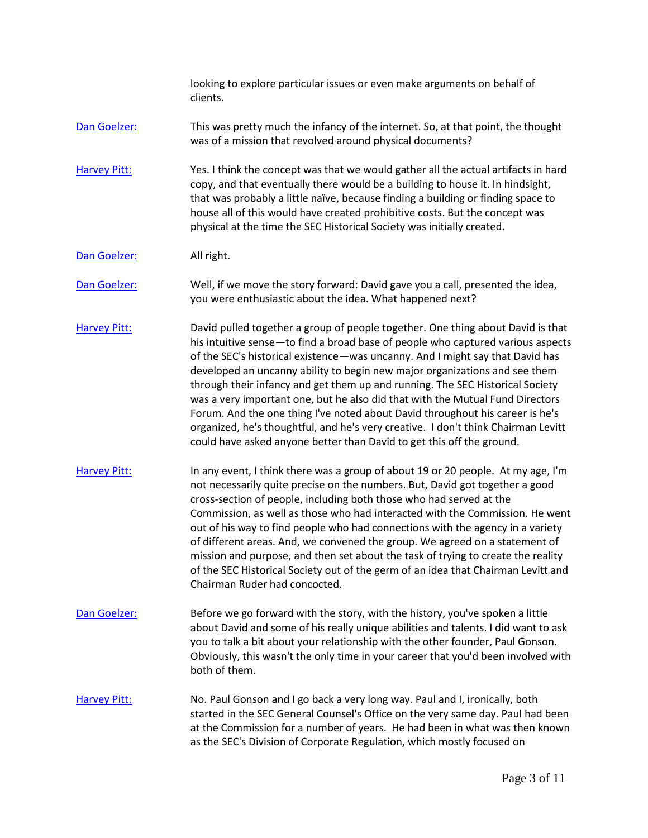looking to explore particular issues or even make arguments on behalf of clients.

[Dan Goelzer:](https://www.rev.com/transcript-editor/Edit?token=C-ESuBf_ILXqx2mHrUoWx7bzDJl2_Ne14jiDemzIbTok4BMTpVrAdIDGgKSBXY52tYZOkbvGL6CMB6h4Bx-GQLSMUBo&loadFrom=DocumentSpeakerNameDeeplink&ts=505.97) This was pretty much the infancy of the internet. So, at that point, the thought was of a mission that revolved around physical documents?

[Harvey Pitt:](https://www.rev.com/transcript-editor/Edit?token=txg0tn8SAR6wOoI2N8LJKaifrQXCIHQPe_xNo4M6-JhOeY91f2owO-BwE9KnB2U0fxldVxutc-g64mVBKXYMMzHrZMM&loadFrom=DocumentSpeakerNameDeeplink&ts=514.23) Yes. I think the concept was that we would gather all the actual artifacts in hard copy, and that eventually there would be a building to house it. In hindsight, that was probably a little naïve, because finding a building or finding space to house all of this would have created prohibitive costs. But the concept was physical at the time the SEC Historical Society was initially created.

[Dan Goelzer:](https://www.rev.com/transcript-editor/Edit?token=j_KRVQ27I0RS5AfKKVRrIQ0cANus3P7zLvYHzifV7gsdn3CrDZ0Q2GhMCHumEVQRNsYTt1qpkB94kEmm4eg3XjP8AF0&loadFrom=DocumentSpeakerNameDeeplink&ts=550.63) All right.

[Dan Goelzer:](https://www.rev.com/transcript-editor/Edit?token=i5yehlVWyIGRwYJrIeF7IhACr9rvgdjfSqxvnv7aaOE5qSX34VS0pU-b5r3XgN_6Wr-lm7E8ge1ydbox-ZchaOumVRg&loadFrom=DocumentSpeakerNameDeeplink&ts=550.93) Well, if we move the story forward: David gave you a call, presented the idea, you were enthusiastic about the idea. What happened next?

[Harvey Pitt:](https://www.rev.com/transcript-editor/Edit?token=oVvV3oXOa5rtO_7N3nxGOG9bVEkqKrgm7BDyZM7jvWK8z2161KZSd-h3FT0QFZk_Yce3jm6WMbC8U2Td-uNvbdQDmdc&loadFrom=DocumentSpeakerNameDeeplink&ts=559.74) David pulled together a group of people together. One thing about David is that his intuitive sense—to find a broad base of people who captured various aspects of the SEC's historical existence—was uncanny. And I might say that David has developed an uncanny ability to begin new major organizations and see them through their infancy and get them up and running. The SEC Historical Society was a very important one, but he also did that with the Mutual Fund Directors Forum. And the one thing I've noted about David throughout his career is he's organized, he's thoughtful, and he's very creative. I don't think Chairman Levitt could have asked anyone better than David to get this off the ground.

- [Harvey Pitt:](https://www.rev.com/transcript-editor/Edit?token=4AQiFYt0pUtVgVdo_kdmzyQUIlLmdE1l7OQ06dJKSQVpSeT4aPVyMeM4n7JbfN9ElnPg6Z95V5UdkV763K8vSVLo-PA&loadFrom=DocumentSpeakerNameDeeplink&ts=652.17) In any event, I think there was a group of about 19 or 20 people. At my age, I'm not necessarily quite precise on the numbers. But, David got together a good cross-section of people, including both those who had served at the Commission, as well as those who had interacted with the Commission. He went out of his way to find people who had connections with the agency in a variety of different areas. And, we convened the group. We agreed on a statement of mission and purpose, and then set about the task of trying to create the reality of the SEC Historical Society out of the germ of an idea that Chairman Levitt and Chairman Ruder had concocted.
- [Dan Goelzer:](https://www.rev.com/transcript-editor/Edit?token=xFcSEZuZte51H2yTd55rVlC1cMKLh-TeP1JXLultafqtVoAmEVcsNEaAAoIMJGjeNwYngWnW9fS_JxV8zYpmTw-RzQg&loadFrom=DocumentSpeakerNameDeeplink&ts=722.46) Before we go forward with the story, with the history, you've spoken a little about David and some of his really unique abilities and talents. I did want to ask you to talk a bit about your relationship with the other founder, Paul Gonson. Obviously, this wasn't the only time in your career that you'd been involved with both of them.

## [Harvey Pitt:](https://www.rev.com/transcript-editor/Edit?token=Tg2m3Lw8r8y31hFz_qY7XWrGEcP0kLgIH-WkFH2cd16w6KkVAXzGMIIiNkqyLlj5vXo1tp0T03XdSqM_fkL67kjb_XQ&loadFrom=DocumentSpeakerNameDeeplink&ts=746.54) No. Paul Gonson and I go back a very long way. Paul and I, ironically, both started in the SEC General Counsel's Office on the very same day. Paul had been at the Commission for a number of years. He had been in what was then known as the SEC's Division of Corporate Regulation, which mostly focused on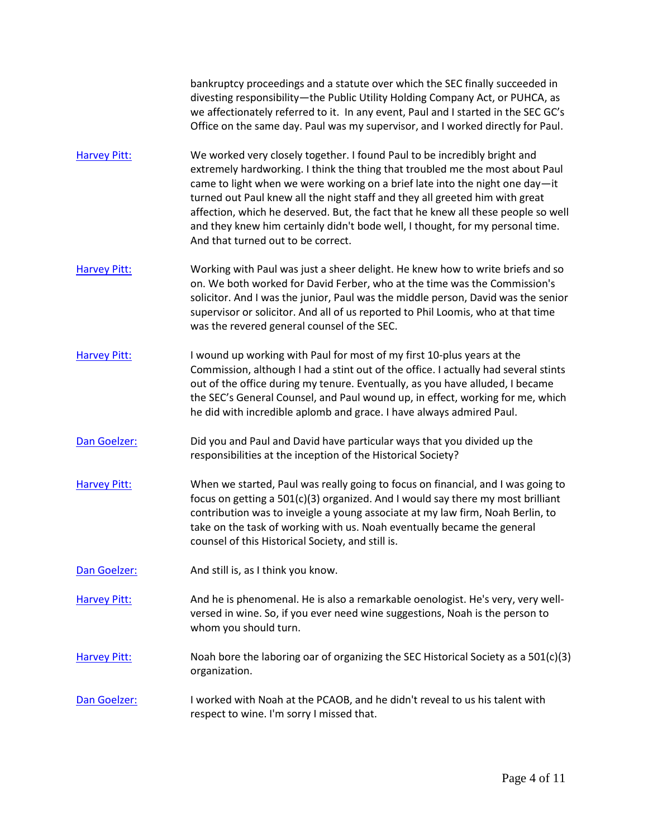bankruptcy proceedings and a statute over which the SEC finally succeeded in divesting responsibility—the Public Utility Holding Company Act, or PUHCA, as we affectionately referred to it. In any event, Paul and I started in the SEC GC's Office on the same day. Paul was my supervisor, and I worked directly for Paul.

- [Harvey Pitt:](https://www.rev.com/transcript-editor/Edit?token=pigqmUhwVUgDR8FE4KE9hg1qK00zKPthqrsQnpk2i0JMiG1wdjx5YtBzTi5fkh2YoOrMyRermVDcj3By7uxgpso6DQ0&loadFrom=DocumentSpeakerNameDeeplink&ts=824.08) We worked very closely together. I found Paul to be incredibly bright and extremely hardworking. I think the thing that troubled me the most about Paul came to light when we were working on a brief late into the night one day—it turned out Paul knew all the night staff and they all greeted him with great affection, which he deserved. But, the fact that he knew all these people so well and they knew him certainly didn't bode well, I thought, for my personal time. And that turned out to be correct.
- [Harvey Pitt:](https://www.rev.com/transcript-editor/Edit?token=5hAYRrtf-8dN_2AM8Dl7qvYM1veVT-cNUfi-FR24NSaoMLkw9Bex_HEIrgPwoJPIUvtRfAAvHCEp_IMaESbvmy6U898&loadFrom=DocumentSpeakerNameDeeplink&ts=873.33) Working with Paul was just a sheer delight. He knew how to write briefs and so on. We both worked for David Ferber, who at the time was the Commission's solicitor. And I was the junior, Paul was the middle person, David was the senior supervisor or solicitor. And all of us reported to Phil Loomis, who at that time was the revered general counsel of the SEC.
- [Harvey Pitt:](https://www.rev.com/transcript-editor/Edit?token=5KevX-IFA2XlhrbvYLxBZLn8Lxpk6wP_i-K5RbsnkXXV61vsOX4QYC1MVM5sfXBtSFo9ZsCCtiz1ngpr3OAPTmwAOzk&loadFrom=DocumentSpeakerNameDeeplink&ts=911.46) I wound up working with Paul for most of my first 10-plus years at the Commission, although I had a stint out of the office. I actually had several stints out of the office during my tenure. Eventually, as you have alluded, I became the SEC's General Counsel, and Paul wound up, in effect, working for me, which he did with incredible aplomb and grace. I have always admired Paul.
- [Dan Goelzer:](https://www.rev.com/transcript-editor/Edit?token=BZ_QbMWXYY87CQqYNWSA-_Tat-VFmO8zLhAPqUOFB9fceOUKge5aByfL6O0Ozw9PzCtzMWK3cYpTF_BWWEoHqNP_Xiw&loadFrom=DocumentSpeakerNameDeeplink&ts=951.51) Did you and Paul and David have particular ways that you divided up the responsibilities at the inception of the Historical Society?
- [Harvey Pitt:](https://www.rev.com/transcript-editor/Edit?token=vEPxsETxDFqXoxxHs2xd96duPsastX7u8vkqg9wFiXCr4MhMwHmVUKA9PENQxiIHppzHjBNZwPoS3DMR7eArt7mkeyU&loadFrom=DocumentSpeakerNameDeeplink&ts=961.38) When we started, Paul was really going to focus on financial, and I was going to focus on getting a 501(c)(3) organized. And I would say there my most brilliant contribution was to inveigle a young associate at my law firm, Noah Berlin, to take on the task of working with us. Noah eventually became the general counsel of this Historical Society, and still is.
- [Dan Goelzer:](https://www.rev.com/transcript-editor/Edit?token=umMKfV-HA3DdgiEkclWOAWk0EBsEagrKE6JPj2foO82BruHfuRhCrfk06JJxGtnj7uJWC_dN_Z-gG-j49ua1S9J9dlU&loadFrom=DocumentSpeakerNameDeeplink&ts=1009.19) And still is, as I think you know.

[Harvey Pitt:](https://www.rev.com/transcript-editor/Edit?token=jC0d00D_yoo0FgFaO6fY4o0Obgqpo4WglIBk2lQLNTArONywh_FyvBY3ag4-Ruh9bDrd6CJA6-9rTYp41pJo8LBjdF8&loadFrom=DocumentSpeakerNameDeeplink&ts=1011.7) And he is phenomenal. He is also a remarkable oenologist. He's very, very wellversed in wine. So, if you ever need wine suggestions, Noah is the person to whom you should turn.

- [Harvey Pitt:](https://www.rev.com/transcript-editor/Edit?token=mE414ZCzzTNm9F3LBEfp57UdaE9t5Ia5BXIIdB6SRl28UyR3UDSj2dXZBSoEQyU-tGMdt0-EjnwfvrVIvh-HxMVsnkQ&loadFrom=DocumentSpeakerNameDeeplink&ts=1030.04) Noah bore the laboring oar of organizing the SEC Historical Society as a 501(c)(3) organization.
- [Dan Goelzer:](https://www.rev.com/transcript-editor/Edit?token=ftAqNTojvHOWle9qRoLtNuX_3MIj30Afx_gLhxUVNqVbEXbaTJ8agMJ2uaV03hxZlehEmd82AGYgxAgmuwhuUl1dtiE&loadFrom=DocumentSpeakerNameDeeplink&ts=1034.63) I worked with Noah at the PCAOB, and he didn't reveal to us his talent with respect to wine. I'm sorry I missed that.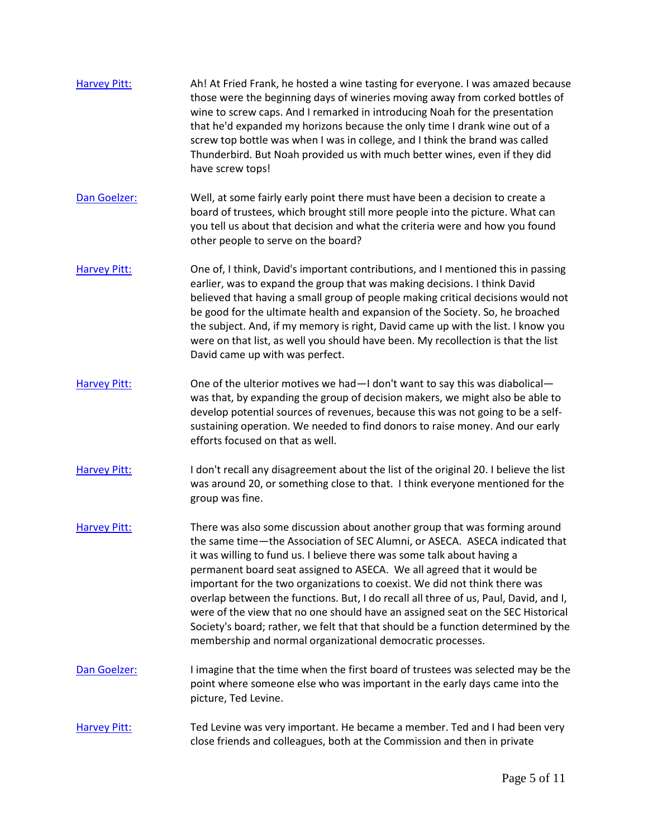| <b>Harvey Pitt:</b> | Ah! At Fried Frank, he hosted a wine tasting for everyone. I was amazed because<br>those were the beginning days of wineries moving away from corked bottles of<br>wine to screw caps. And I remarked in introducing Noah for the presentation<br>that he'd expanded my horizons because the only time I drank wine out of a<br>screw top bottle was when I was in college, and I think the brand was called<br>Thunderbird. But Noah provided us with much better wines, even if they did<br>have screw tops!                                                                                                                                                                                                             |
|---------------------|----------------------------------------------------------------------------------------------------------------------------------------------------------------------------------------------------------------------------------------------------------------------------------------------------------------------------------------------------------------------------------------------------------------------------------------------------------------------------------------------------------------------------------------------------------------------------------------------------------------------------------------------------------------------------------------------------------------------------|
| Dan Goelzer:        | Well, at some fairly early point there must have been a decision to create a<br>board of trustees, which brought still more people into the picture. What can<br>you tell us about that decision and what the criteria were and how you found<br>other people to serve on the board?                                                                                                                                                                                                                                                                                                                                                                                                                                       |
| <b>Harvey Pitt:</b> | One of, I think, David's important contributions, and I mentioned this in passing<br>earlier, was to expand the group that was making decisions. I think David<br>believed that having a small group of people making critical decisions would not<br>be good for the ultimate health and expansion of the Society. So, he broached<br>the subject. And, if my memory is right, David came up with the list. I know you<br>were on that list, as well you should have been. My recollection is that the list<br>David came up with was perfect.                                                                                                                                                                            |
| <b>Harvey Pitt:</b> | One of the ulterior motives we had-I don't want to say this was diabolical-<br>was that, by expanding the group of decision makers, we might also be able to<br>develop potential sources of revenues, because this was not going to be a self-<br>sustaining operation. We needed to find donors to raise money. And our early<br>efforts focused on that as well.                                                                                                                                                                                                                                                                                                                                                        |
| <b>Harvey Pitt:</b> | I don't recall any disagreement about the list of the original 20. I believe the list<br>was around 20, or something close to that. I think everyone mentioned for the<br>group was fine.                                                                                                                                                                                                                                                                                                                                                                                                                                                                                                                                  |
| <b>Harvey Pitt:</b> | There was also some discussion about another group that was forming around<br>the same time-the Association of SEC Alumni, or ASECA. ASECA indicated that<br>it was willing to fund us. I believe there was some talk about having a<br>permanent board seat assigned to ASECA. We all agreed that it would be<br>important for the two organizations to coexist. We did not think there was<br>overlap between the functions. But, I do recall all three of us, Paul, David, and I,<br>were of the view that no one should have an assigned seat on the SEC Historical<br>Society's board; rather, we felt that that should be a function determined by the<br>membership and normal organizational democratic processes. |
| Dan Goelzer:        | I imagine that the time when the first board of trustees was selected may be the<br>point where someone else who was important in the early days came into the<br>picture, Ted Levine.                                                                                                                                                                                                                                                                                                                                                                                                                                                                                                                                     |
| <b>Harvey Pitt:</b> | Ted Levine was very important. He became a member. Ted and I had been very<br>close friends and colleagues, both at the Commission and then in private                                                                                                                                                                                                                                                                                                                                                                                                                                                                                                                                                                     |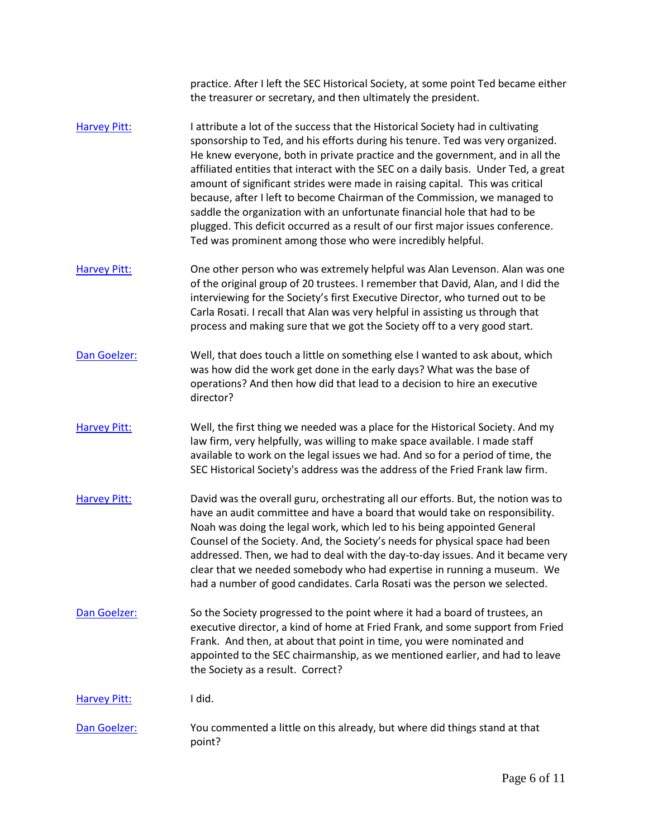|                     | practice. After I left the SEC Historical Society, at some point Ted became either<br>the treasurer or secretary, and then ultimately the president.                                                                                                                                                                                                                                                                                                                                                                                                                                                                                                                                                                                   |
|---------------------|----------------------------------------------------------------------------------------------------------------------------------------------------------------------------------------------------------------------------------------------------------------------------------------------------------------------------------------------------------------------------------------------------------------------------------------------------------------------------------------------------------------------------------------------------------------------------------------------------------------------------------------------------------------------------------------------------------------------------------------|
| <b>Harvey Pitt:</b> | I attribute a lot of the success that the Historical Society had in cultivating<br>sponsorship to Ted, and his efforts during his tenure. Ted was very organized.<br>He knew everyone, both in private practice and the government, and in all the<br>affiliated entities that interact with the SEC on a daily basis. Under Ted, a great<br>amount of significant strides were made in raising capital. This was critical<br>because, after I left to become Chairman of the Commission, we managed to<br>saddle the organization with an unfortunate financial hole that had to be<br>plugged. This deficit occurred as a result of our first major issues conference.<br>Ted was prominent among those who were incredibly helpful. |
| <b>Harvey Pitt:</b> | One other person who was extremely helpful was Alan Levenson. Alan was one<br>of the original group of 20 trustees. I remember that David, Alan, and I did the<br>interviewing for the Society's first Executive Director, who turned out to be<br>Carla Rosati. I recall that Alan was very helpful in assisting us through that<br>process and making sure that we got the Society off to a very good start.                                                                                                                                                                                                                                                                                                                         |
| Dan Goelzer:        | Well, that does touch a little on something else I wanted to ask about, which<br>was how did the work get done in the early days? What was the base of<br>operations? And then how did that lead to a decision to hire an executive<br>director?                                                                                                                                                                                                                                                                                                                                                                                                                                                                                       |
| <b>Harvey Pitt:</b> | Well, the first thing we needed was a place for the Historical Society. And my<br>law firm, very helpfully, was willing to make space available. I made staff<br>available to work on the legal issues we had. And so for a period of time, the<br>SEC Historical Society's address was the address of the Fried Frank law firm.                                                                                                                                                                                                                                                                                                                                                                                                       |
| <b>Harvey Pitt:</b> | David was the overall guru, orchestrating all our efforts. But, the notion was to<br>have an audit committee and have a board that would take on responsibility.<br>Noah was doing the legal work, which led to his being appointed General<br>Counsel of the Society. And, the Society's needs for physical space had been<br>addressed. Then, we had to deal with the day-to-day issues. And it became very<br>clear that we needed somebody who had expertise in running a museum. We<br>had a number of good candidates. Carla Rosati was the person we selected.                                                                                                                                                                  |
| Dan Goelzer:        | So the Society progressed to the point where it had a board of trustees, an<br>executive director, a kind of home at Fried Frank, and some support from Fried<br>Frank. And then, at about that point in time, you were nominated and<br>appointed to the SEC chairmanship, as we mentioned earlier, and had to leave<br>the Society as a result. Correct?                                                                                                                                                                                                                                                                                                                                                                             |
| <b>Harvey Pitt:</b> | I did.                                                                                                                                                                                                                                                                                                                                                                                                                                                                                                                                                                                                                                                                                                                                 |
| Dan Goelzer:        | You commented a little on this already, but where did things stand at that<br>point?                                                                                                                                                                                                                                                                                                                                                                                                                                                                                                                                                                                                                                                   |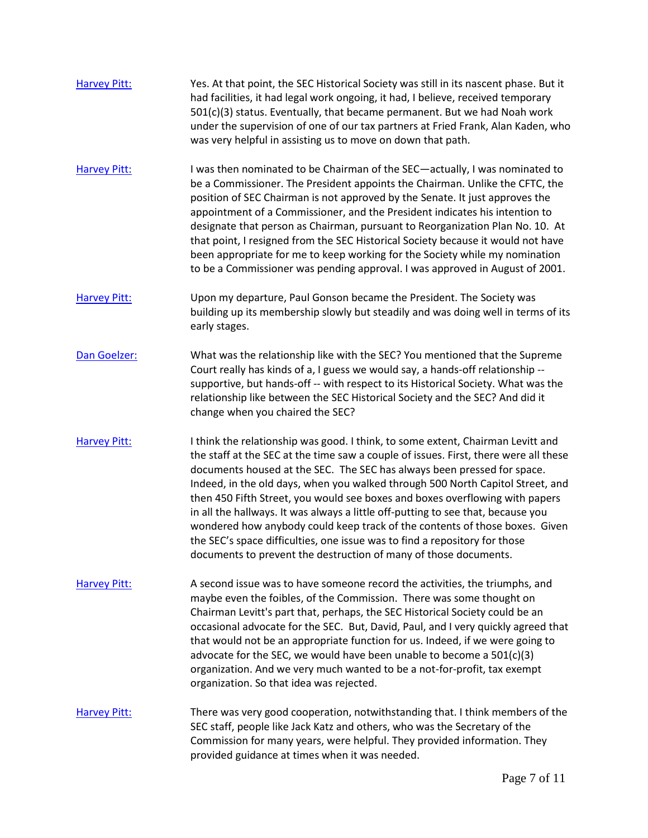| <b>Harvey Pitt:</b> | Yes. At that point, the SEC Historical Society was still in its nascent phase. But it<br>had facilities, it had legal work ongoing, it had, I believe, received temporary<br>501(c)(3) status. Eventually, that became permanent. But we had Noah work<br>under the supervision of one of our tax partners at Fried Frank, Alan Kaden, who<br>was very helpful in assisting us to move on down that path.                                                                                                                                                                                                                                                                                                                                 |
|---------------------|-------------------------------------------------------------------------------------------------------------------------------------------------------------------------------------------------------------------------------------------------------------------------------------------------------------------------------------------------------------------------------------------------------------------------------------------------------------------------------------------------------------------------------------------------------------------------------------------------------------------------------------------------------------------------------------------------------------------------------------------|
| <b>Harvey Pitt:</b> | I was then nominated to be Chairman of the SEC-actually, I was nominated to<br>be a Commissioner. The President appoints the Chairman. Unlike the CFTC, the<br>position of SEC Chairman is not approved by the Senate. It just approves the<br>appointment of a Commissioner, and the President indicates his intention to<br>designate that person as Chairman, pursuant to Reorganization Plan No. 10. At<br>that point, I resigned from the SEC Historical Society because it would not have<br>been appropriate for me to keep working for the Society while my nomination<br>to be a Commissioner was pending approval. I was approved in August of 2001.                                                                            |
| <b>Harvey Pitt:</b> | Upon my departure, Paul Gonson became the President. The Society was<br>building up its membership slowly but steadily and was doing well in terms of its<br>early stages.                                                                                                                                                                                                                                                                                                                                                                                                                                                                                                                                                                |
| Dan Goelzer:        | What was the relationship like with the SEC? You mentioned that the Supreme<br>Court really has kinds of a, I guess we would say, a hands-off relationship --<br>supportive, but hands-off -- with respect to its Historical Society. What was the<br>relationship like between the SEC Historical Society and the SEC? And did it<br>change when you chaired the SEC?                                                                                                                                                                                                                                                                                                                                                                    |
| <b>Harvey Pitt:</b> | I think the relationship was good. I think, to some extent, Chairman Levitt and<br>the staff at the SEC at the time saw a couple of issues. First, there were all these<br>documents housed at the SEC. The SEC has always been pressed for space.<br>Indeed, in the old days, when you walked through 500 North Capitol Street, and<br>then 450 Fifth Street, you would see boxes and boxes overflowing with papers<br>in all the hallways. It was always a little off-putting to see that, because you<br>wondered how anybody could keep track of the contents of those boxes. Given<br>the SEC's space difficulties, one issue was to find a repository for those<br>documents to prevent the destruction of many of those documents. |
| <b>Harvey Pitt:</b> | A second issue was to have someone record the activities, the triumphs, and<br>maybe even the foibles, of the Commission. There was some thought on<br>Chairman Levitt's part that, perhaps, the SEC Historical Society could be an<br>occasional advocate for the SEC. But, David, Paul, and I very quickly agreed that<br>that would not be an appropriate function for us. Indeed, if we were going to<br>advocate for the SEC, we would have been unable to become a $501(c)(3)$<br>organization. And we very much wanted to be a not-for-profit, tax exempt<br>organization. So that idea was rejected.                                                                                                                              |
| <b>Harvey Pitt:</b> | There was very good cooperation, notwithstanding that. I think members of the<br>SEC staff, people like Jack Katz and others, who was the Secretary of the<br>Commission for many years, were helpful. They provided information. They<br>provided guidance at times when it was needed.                                                                                                                                                                                                                                                                                                                                                                                                                                                  |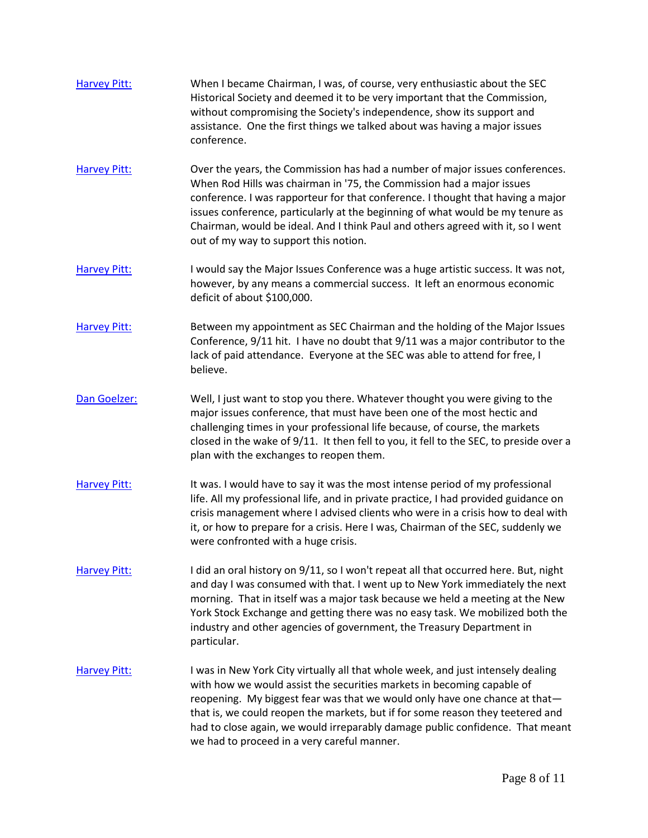| <b>Harvey Pitt:</b> | When I became Chairman, I was, of course, very enthusiastic about the SEC<br>Historical Society and deemed it to be very important that the Commission,<br>without compromising the Society's independence, show its support and<br>assistance. One the first things we talked about was having a major issues<br>conference.                                                                                                                              |
|---------------------|------------------------------------------------------------------------------------------------------------------------------------------------------------------------------------------------------------------------------------------------------------------------------------------------------------------------------------------------------------------------------------------------------------------------------------------------------------|
| <b>Harvey Pitt:</b> | Over the years, the Commission has had a number of major issues conferences.<br>When Rod Hills was chairman in '75, the Commission had a major issues<br>conference. I was rapporteur for that conference. I thought that having a major<br>issues conference, particularly at the beginning of what would be my tenure as<br>Chairman, would be ideal. And I think Paul and others agreed with it, so I went<br>out of my way to support this notion.     |
| <b>Harvey Pitt:</b> | I would say the Major Issues Conference was a huge artistic success. It was not,<br>however, by any means a commercial success. It left an enormous economic<br>deficit of about \$100,000.                                                                                                                                                                                                                                                                |
| <b>Harvey Pitt:</b> | Between my appointment as SEC Chairman and the holding of the Major Issues<br>Conference, 9/11 hit. I have no doubt that 9/11 was a major contributor to the<br>lack of paid attendance. Everyone at the SEC was able to attend for free, I<br>believe.                                                                                                                                                                                                    |
| Dan Goelzer:        | Well, I just want to stop you there. Whatever thought you were giving to the<br>major issues conference, that must have been one of the most hectic and<br>challenging times in your professional life because, of course, the markets<br>closed in the wake of 9/11. It then fell to you, it fell to the SEC, to preside over a<br>plan with the exchanges to reopen them.                                                                                |
| <b>Harvey Pitt:</b> | It was. I would have to say it was the most intense period of my professional<br>life. All my professional life, and in private practice, I had provided guidance on<br>crisis management where I advised clients who were in a crisis how to deal with<br>it, or how to prepare for a crisis. Here I was, Chairman of the SEC, suddenly we<br>were confronted with a huge crisis.                                                                         |
| <b>Harvey Pitt:</b> | I did an oral history on 9/11, so I won't repeat all that occurred here. But, night<br>and day I was consumed with that. I went up to New York immediately the next<br>morning. That in itself was a major task because we held a meeting at the New<br>York Stock Exchange and getting there was no easy task. We mobilized both the<br>industry and other agencies of government, the Treasury Department in<br>particular.                              |
| <b>Harvey Pitt:</b> | I was in New York City virtually all that whole week, and just intensely dealing<br>with how we would assist the securities markets in becoming capable of<br>reopening. My biggest fear was that we would only have one chance at that-<br>that is, we could reopen the markets, but if for some reason they teetered and<br>had to close again, we would irreparably damage public confidence. That meant<br>we had to proceed in a very careful manner. |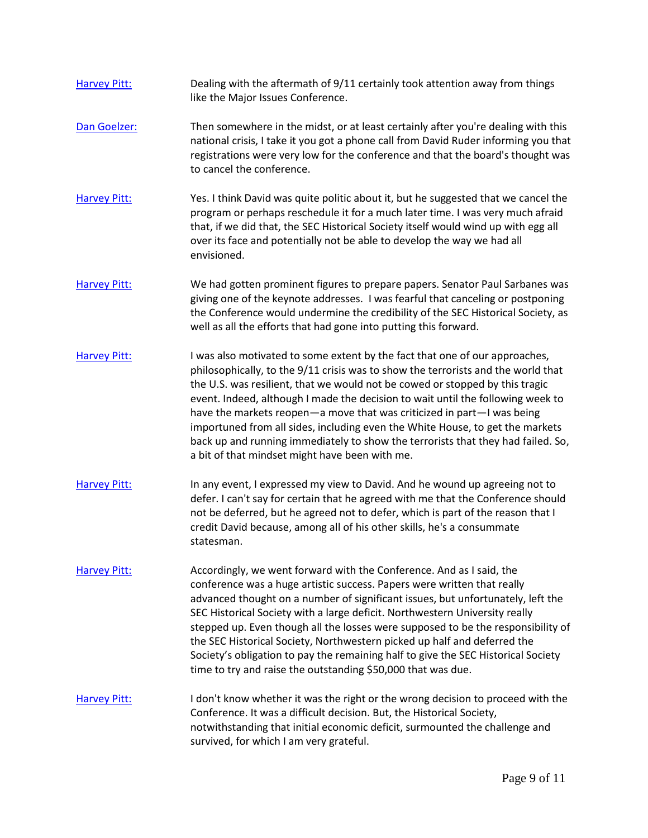| <b>Harvey Pitt:</b> | Dealing with the aftermath of 9/11 certainly took attention away from things<br>like the Major Issues Conference.                                                                                                                                                                                                                                                                                                                                                                                                                                                                                                                      |
|---------------------|----------------------------------------------------------------------------------------------------------------------------------------------------------------------------------------------------------------------------------------------------------------------------------------------------------------------------------------------------------------------------------------------------------------------------------------------------------------------------------------------------------------------------------------------------------------------------------------------------------------------------------------|
| Dan Goelzer:        | Then somewhere in the midst, or at least certainly after you're dealing with this<br>national crisis, I take it you got a phone call from David Ruder informing you that<br>registrations were very low for the conference and that the board's thought was<br>to cancel the conference.                                                                                                                                                                                                                                                                                                                                               |
| <b>Harvey Pitt:</b> | Yes. I think David was quite politic about it, but he suggested that we cancel the<br>program or perhaps reschedule it for a much later time. I was very much afraid<br>that, if we did that, the SEC Historical Society itself would wind up with egg all<br>over its face and potentially not be able to develop the way we had all<br>envisioned.                                                                                                                                                                                                                                                                                   |
| <b>Harvey Pitt:</b> | We had gotten prominent figures to prepare papers. Senator Paul Sarbanes was<br>giving one of the keynote addresses. I was fearful that canceling or postponing<br>the Conference would undermine the credibility of the SEC Historical Society, as<br>well as all the efforts that had gone into putting this forward.                                                                                                                                                                                                                                                                                                                |
| <b>Harvey Pitt:</b> | I was also motivated to some extent by the fact that one of our approaches,<br>philosophically, to the 9/11 crisis was to show the terrorists and the world that<br>the U.S. was resilient, that we would not be cowed or stopped by this tragic<br>event. Indeed, although I made the decision to wait until the following week to<br>have the markets reopen-a move that was criticized in part-I was being<br>importuned from all sides, including even the White House, to get the markets<br>back up and running immediately to show the terrorists that they had failed. So,<br>a bit of that mindset might have been with me.   |
| <b>Harvey Pitt:</b> | In any event, I expressed my view to David. And he wound up agreeing not to<br>defer. I can't say for certain that he agreed with me that the Conference should<br>not be deferred, but he agreed not to defer, which is part of the reason that I<br>credit David because, among all of his other skills, he's a consummate<br>statesman.                                                                                                                                                                                                                                                                                             |
| <b>Harvey Pitt:</b> | Accordingly, we went forward with the Conference. And as I said, the<br>conference was a huge artistic success. Papers were written that really<br>advanced thought on a number of significant issues, but unfortunately, left the<br>SEC Historical Society with a large deficit. Northwestern University really<br>stepped up. Even though all the losses were supposed to be the responsibility of<br>the SEC Historical Society, Northwestern picked up half and deferred the<br>Society's obligation to pay the remaining half to give the SEC Historical Society<br>time to try and raise the outstanding \$50,000 that was due. |
| <b>Harvey Pitt:</b> | I don't know whether it was the right or the wrong decision to proceed with the<br>Conference. It was a difficult decision. But, the Historical Society,<br>notwithstanding that initial economic deficit, surmounted the challenge and<br>survived, for which I am very grateful.                                                                                                                                                                                                                                                                                                                                                     |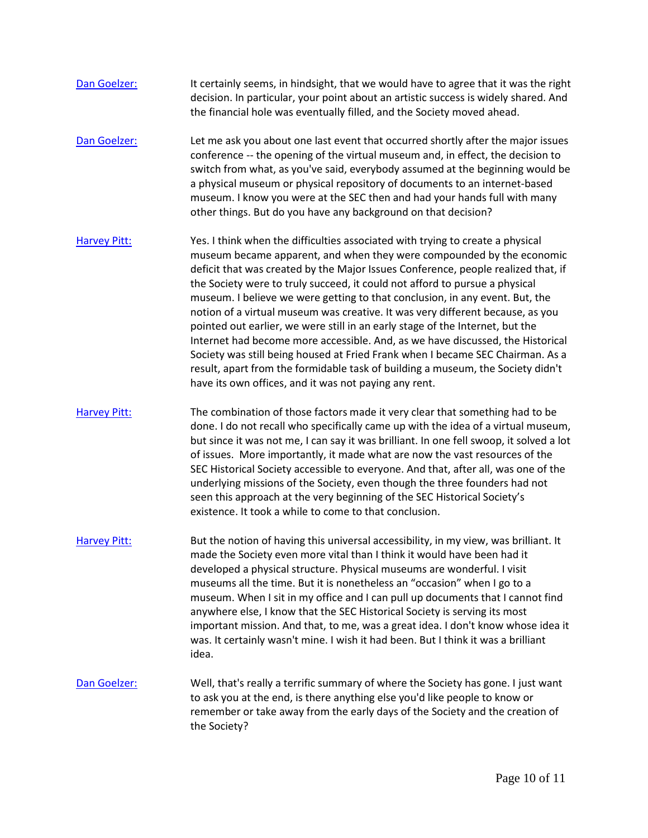| Dan Goelzer:        | It certainly seems, in hindsight, that we would have to agree that it was the right<br>decision. In particular, your point about an artistic success is widely shared. And<br>the financial hole was eventually filled, and the Society moved ahead.                                                                                                                                                                                                                                                                                                                                                                                                                                                                                                                                                                                                                                           |
|---------------------|------------------------------------------------------------------------------------------------------------------------------------------------------------------------------------------------------------------------------------------------------------------------------------------------------------------------------------------------------------------------------------------------------------------------------------------------------------------------------------------------------------------------------------------------------------------------------------------------------------------------------------------------------------------------------------------------------------------------------------------------------------------------------------------------------------------------------------------------------------------------------------------------|
| Dan Goelzer:        | Let me ask you about one last event that occurred shortly after the major issues<br>conference -- the opening of the virtual museum and, in effect, the decision to<br>switch from what, as you've said, everybody assumed at the beginning would be<br>a physical museum or physical repository of documents to an internet-based<br>museum. I know you were at the SEC then and had your hands full with many<br>other things. But do you have any background on that decision?                                                                                                                                                                                                                                                                                                                                                                                                              |
| <b>Harvey Pitt:</b> | Yes. I think when the difficulties associated with trying to create a physical<br>museum became apparent, and when they were compounded by the economic<br>deficit that was created by the Major Issues Conference, people realized that, if<br>the Society were to truly succeed, it could not afford to pursue a physical<br>museum. I believe we were getting to that conclusion, in any event. But, the<br>notion of a virtual museum was creative. It was very different because, as you<br>pointed out earlier, we were still in an early stage of the Internet, but the<br>Internet had become more accessible. And, as we have discussed, the Historical<br>Society was still being housed at Fried Frank when I became SEC Chairman. As a<br>result, apart from the formidable task of building a museum, the Society didn't<br>have its own offices, and it was not paying any rent. |
| <b>Harvey Pitt:</b> | The combination of those factors made it very clear that something had to be<br>done. I do not recall who specifically came up with the idea of a virtual museum,<br>but since it was not me, I can say it was brilliant. In one fell swoop, it solved a lot<br>of issues. More importantly, it made what are now the vast resources of the<br>SEC Historical Society accessible to everyone. And that, after all, was one of the<br>underlying missions of the Society, even though the three founders had not<br>seen this approach at the very beginning of the SEC Historical Society's<br>existence. It took a while to come to that conclusion.                                                                                                                                                                                                                                          |
| <b>Harvey Pitt:</b> | But the notion of having this universal accessibility, in my view, was brilliant. It<br>made the Society even more vital than I think it would have been had it<br>developed a physical structure. Physical museums are wonderful. I visit<br>museums all the time. But it is nonetheless an "occasion" when I go to a<br>museum. When I sit in my office and I can pull up documents that I cannot find<br>anywhere else, I know that the SEC Historical Society is serving its most<br>important mission. And that, to me, was a great idea. I don't know whose idea it<br>was. It certainly wasn't mine. I wish it had been. But I think it was a brilliant<br>idea.                                                                                                                                                                                                                        |
| Dan Goelzer:        | Well, that's really a terrific summary of where the Society has gone. I just want<br>to ask you at the end, is there anything else you'd like people to know or<br>remember or take away from the early days of the Society and the creation of<br>the Society?                                                                                                                                                                                                                                                                                                                                                                                                                                                                                                                                                                                                                                |